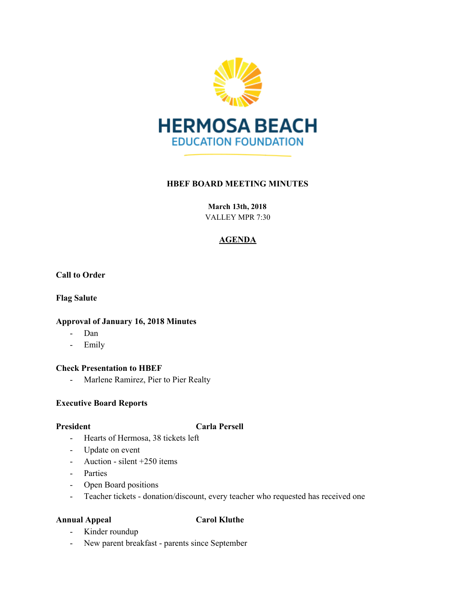

## **HBEF BOARD MEETING MINUTES**

**March 13th, 2018**

VALLEY MPR 7:30

# **AGENDA**

**Call to Order**

**Flag Salute**

## **Approval of January 16, 2018 Minutes**

- Dan
- Emily

## **Check Presentation to HBEF**

- Marlene Ramirez, Pier to Pier Realty

## **Executive Board Reports**

## **President Carla Persell**

- Hearts of Hermosa, 38 tickets left
- Update on event
- Auction silent +250 items
- Parties
- Open Board positions
- Teacher tickets donation/discount, every teacher who requested has received one

## **Annual Appeal Carol Kluthe**

- Kinder roundup
- New parent breakfast parents since September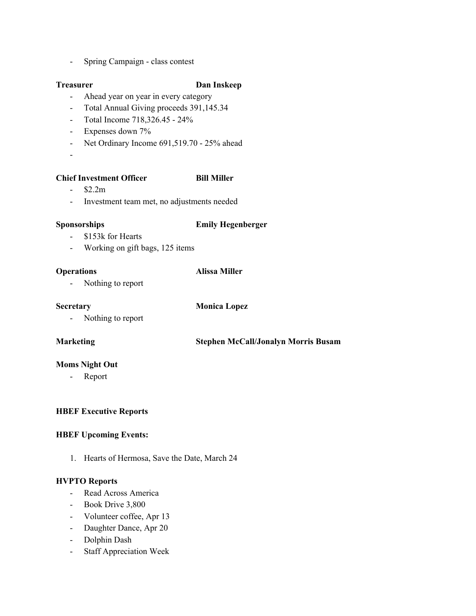- Spring Campaign - class contest

## **Treasurer Dan Inskeep**

- Ahead year on year in every category
- Total Annual Giving proceeds 391,145.34
- Total Income 718,326.45 24%
- Expenses down 7%
- Net Ordinary Income 691,519.70 25% ahead
- -

## **Chief Investment Officer Bill Miller**

- $-$  \$2.2m
- 
- Investment team met, no adjustments needed

## **Sponsorships Emily Hegenberger**

- \$153k for Hearts
- Working on gift bags, 125 items

## **Operations Alissa Miller**

- Nothing to report

**Secretary Monica Lopez**

- Nothing to report

**Marketing Stephen McCall/Jonalyn Morris Busam**

## **Moms Night Out**

- Report

## **HBEF Executive Reports**

## **HBEF Upcoming Events:**

1. Hearts of Hermosa, Save the Date, March 24

## **HVPTO Reports**

- Read Across America
- Book Drive 3,800
- Volunteer coffee, Apr 13
- Daughter Dance, Apr 20
- Dolphin Dash
- Staff Appreciation Week